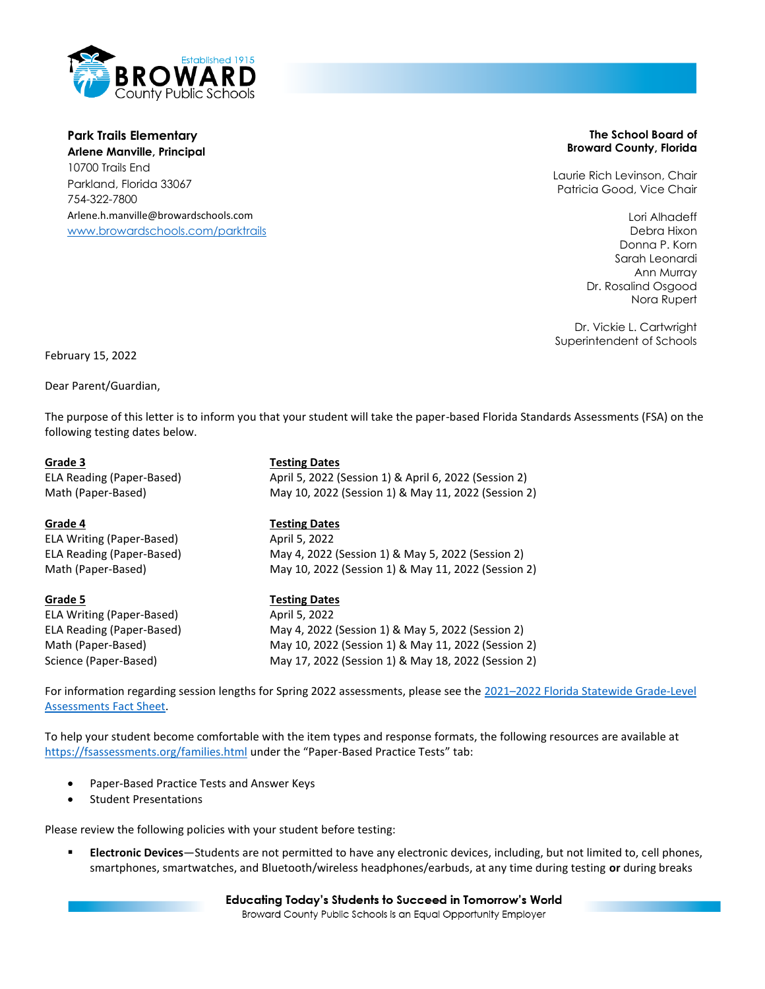

**Park Trails Elementary Arlene Manville, Principal** 10700 Trails End Parkland, Florida 33067 754-322-7800 Arlene.h.manville@browardschools.com [www.browardschools.com/p](http://www.browardschools.com/xxxxxxx)arktrails

### **The School Board of Broward County, Florida**

Laurie Rich Levinson, Chair Patricia Good, Vice Chair

> Lori Alhadeff Debra Hixon Donna P. Korn Sarah Leonardi Ann Murray Dr. Rosalind Osgood Nora Rupert

Dr. Vickie L. Cartwright Superintendent of Schools

February 15, 2022

Dear Parent/Guardian,

The purpose of this letter is to inform you that your student will take the paper-based Florida Standards Assessments (FSA) on the following testing dates below.

ELA Writing (Paper-Based) April 5, 2022

ELA Writing (Paper-Based) April 5, 2022

# **Grade 3 Testing Dates**

ELA Reading (Paper-Based) April 5, 2022 (Session 1) & April 6, 2022 (Session 2) Math (Paper-Based) May 10, 2022 (Session 1) & May 11, 2022 (Session 2)

## **Grade 4 Testing Dates**

ELA Reading (Paper-Based) May 4, 2022 (Session 1) & May 5, 2022 (Session 2) Math (Paper-Based) May 10, 2022 (Session 1) & May 11, 2022 (Session 2)

## **Grade 5 Testing Dates**

ELA Reading (Paper-Based) May 4, 2022 (Session 1) & May 5, 2022 (Session 2) Math (Paper-Based) May 10, 2022 (Session 1) & May 11, 2022 (Session 2) Science (Paper-Based) May 17, 2022 (Session 1) & May 18, 2022 (Session 2)

For information regarding session lengths for Spring 2022 assessments, please see the 2021–2022 Florida Statewide Grade-Level [Assessments Fact Sheet.](https://fsassessments.org/-/media/project/client-portals/florida/pdf/fact-sheets/2021-22-florida-grade-level-assessments-fact-sheet_final_508.pdf)

To help your student become comfortable with the item types and response formats, the following resources are available at <https://fsassessments.org/families.html> under the "Paper-Based Practice Tests" tab:

- Paper-Based Practice Tests and Answer Keys
- Student Presentations

Please review the following policies with your student before testing:

▪ **Electronic Devices**—Students are not permitted to have any electronic devices, including, but not limited to, cell phones, smartphones, smartwatches, and Bluetooth/wireless headphones/earbuds, at any time during testing **or** during breaks